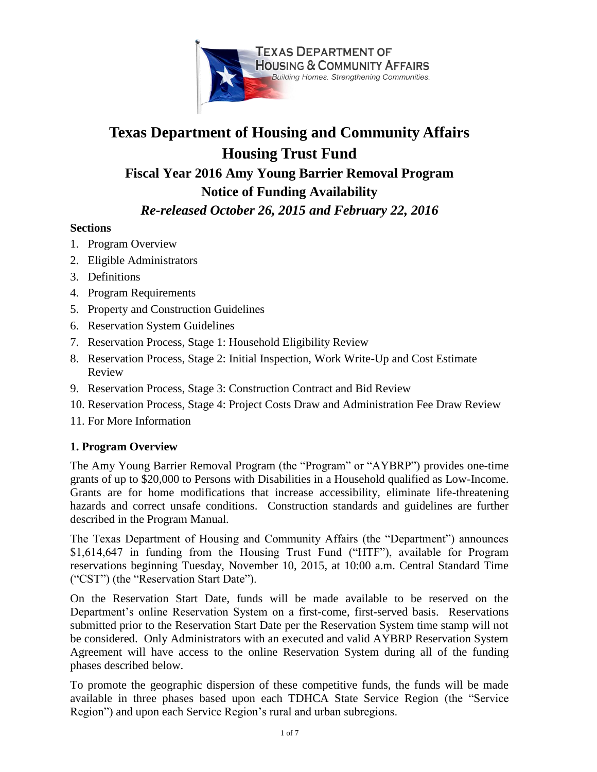

# **Texas Department of Housing and Community Affairs Housing Trust Fund**

**Fiscal Year 2016 Amy Young Barrier Removal Program**

# **Notice of Funding Availability**

# *Re-released October 26, 2015 and February 22, 2016*

# **Sections**

- 1. Program Overview
- 2. Eligible Administrators
- 3. Definitions
- 4. Program Requirements
- 5. Property and Construction Guidelines
- 6. Reservation System Guidelines
- 7. Reservation Process, Stage 1: Household Eligibility Review
- 8. Reservation Process, Stage 2: Initial Inspection, Work Write-Up and Cost Estimate Review
- 9. Reservation Process, Stage 3: Construction Contract and Bid Review
- 10. Reservation Process, Stage 4: Project Costs Draw and Administration Fee Draw Review
- 11. For More Information

# **1. Program Overview**

The Amy Young Barrier Removal Program (the "Program" or "AYBRP") provides one-time grants of up to \$20,000 to Persons with Disabilities in a Household qualified as Low-Income. Grants are for home modifications that increase accessibility, eliminate life-threatening hazards and correct unsafe conditions. Construction standards and guidelines are further described in the Program Manual.

The Texas Department of Housing and Community Affairs (the "Department") announces \$1,614,647 in funding from the Housing Trust Fund ("HTF"), available for Program reservations beginning Tuesday, November 10, 2015, at 10:00 a.m. Central Standard Time ("CST") (the "Reservation Start Date").

On the Reservation Start Date, funds will be made available to be reserved on the Department's online Reservation System on a first-come, first-served basis. Reservations submitted prior to the Reservation Start Date per the Reservation System time stamp will not be considered. Only Administrators with an executed and valid AYBRP Reservation System Agreement will have access to the online Reservation System during all of the funding phases described below.

To promote the geographic dispersion of these competitive funds, the funds will be made available in three phases based upon each TDHCA State Service Region (the "Service Region") and upon each Service Region's rural and urban subregions.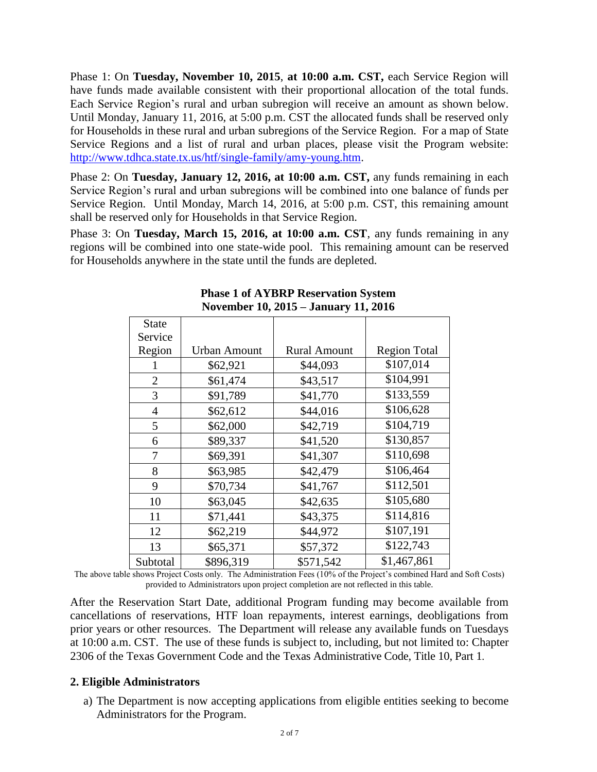Phase 1: On **Tuesday, November 10, 2015**, **at 10:00 a.m. CST,** each Service Region will have funds made available consistent with their proportional allocation of the total funds. Each Service Region's rural and urban subregion will receive an amount as shown below. Until Monday, January 11, 2016, at 5:00 p.m. CST the allocated funds shall be reserved only for Households in these rural and urban subregions of the Service Region. For a map of State Service Regions and a list of rural and urban places, please visit the Program website: [http://www.tdhca.state.tx.us/htf/single-family/amy-young.htm.](http://www.tdhca.state.tx.us/htf/single-family/amy-young.htm)

Phase 2: On **Tuesday, January 12, 2016, at 10:00 a.m. CST,** any funds remaining in each Service Region's rural and urban subregions will be combined into one balance of funds per Service Region. Until Monday, March 14, 2016, at 5:00 p.m. CST, this remaining amount shall be reserved only for Households in that Service Region.

Phase 3: On **Tuesday, March 15, 2016, at 10:00 a.m. CST**, any funds remaining in any regions will be combined into one state-wide pool. This remaining amount can be reserved for Households anywhere in the state until the funds are depleted.

| <b>State</b><br>Service |                     |                     |                     |
|-------------------------|---------------------|---------------------|---------------------|
| Region                  | <b>Urban Amount</b> | <b>Rural Amount</b> | <b>Region Total</b> |
|                         | \$62,921            | \$44,093            | \$107,014           |
| $\overline{2}$          | \$61,474            | \$43,517            | \$104,991           |
| 3                       | \$91,789            | \$41,770            | \$133,559           |
| 4                       | \$62,612            | \$44,016            | \$106,628           |
| 5                       | \$62,000            | \$42,719            | \$104,719           |
| 6                       | \$89,337            | \$41,520            | \$130,857           |
| 7                       | \$69,391            | \$41,307            | \$110,698           |
| 8                       | \$63,985            | \$42,479            | \$106,464           |
| 9                       | \$70,734            | \$41,767            | \$112,501           |
| 10                      | \$63,045            | \$42,635            | \$105,680           |
| 11                      | \$71,441            | \$43,375            | \$114,816           |
| 12                      | \$62,219            | \$44,972            | \$107,191           |
| 13                      | \$65,371            | \$57,372            | \$122,743           |
| Subtotal                | \$896,319           | \$571,542           | \$1,467,861         |

#### **Phase 1 of AYBRP Reservation System November 10, 2015 – January 11, 2016**

The above table shows Project Costs only. The Administration Fees (10% of the Project's combined Hard and Soft Costs) provided to Administrators upon project completion are not reflected in this table.

After the Reservation Start Date, additional Program funding may become available from cancellations of reservations, HTF loan repayments, interest earnings, deobligations from prior years or other resources. The Department will release any available funds on Tuesdays at 10:00 a.m. CST. The use of these funds is subject to, including, but not limited to: Chapter 2306 of the Texas Government Code and the Texas Administrative Code, Title 10, Part 1.

#### **2. Eligible Administrators**

a) The Department is now accepting applications from eligible entities seeking to become Administrators for the Program.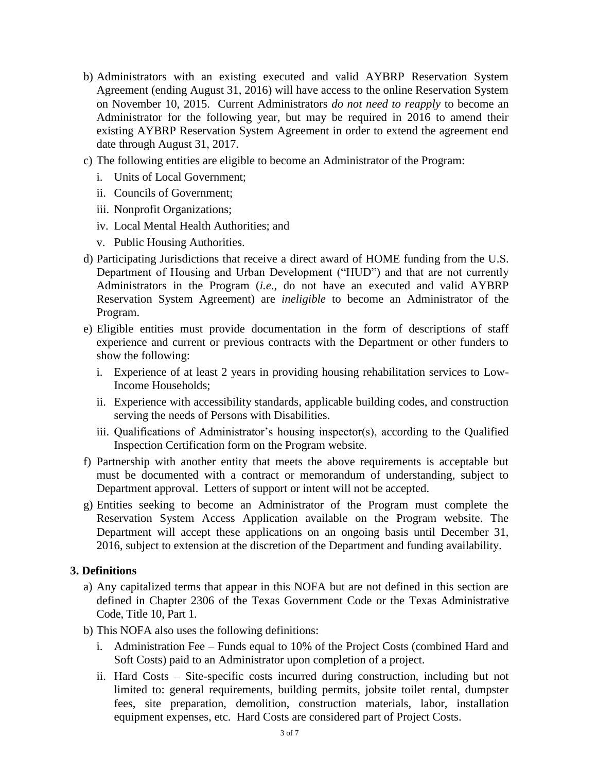- b) Administrators with an existing executed and valid AYBRP Reservation System Agreement (ending August 31, 2016) will have access to the online Reservation System on November 10, 2015. Current Administrators *do not need to reapply* to become an Administrator for the following year, but may be required in 2016 to amend their existing AYBRP Reservation System Agreement in order to extend the agreement end date through August 31, 2017.
- c) The following entities are eligible to become an Administrator of the Program:
	- i. Units of Local Government;
	- ii. Councils of Government;
	- iii. Nonprofit Organizations;
	- iv. Local Mental Health Authorities; and
	- v. Public Housing Authorities.
- d) Participating Jurisdictions that receive a direct award of HOME funding from the U.S. Department of Housing and Urban Development ("HUD") and that are not currently Administrators in the Program (*i.e*., do not have an executed and valid AYBRP Reservation System Agreement) are *ineligible* to become an Administrator of the Program.
- e) Eligible entities must provide documentation in the form of descriptions of staff experience and current or previous contracts with the Department or other funders to show the following:
	- i. Experience of at least 2 years in providing housing rehabilitation services to Low-Income Households;
	- ii. Experience with accessibility standards, applicable building codes, and construction serving the needs of Persons with Disabilities.
	- iii. Qualifications of Administrator's housing inspector(s), according to the Qualified Inspection Certification form on the Program website.
- f) Partnership with another entity that meets the above requirements is acceptable but must be documented with a contract or memorandum of understanding, subject to Department approval. Letters of support or intent will not be accepted.
- g) Entities seeking to become an Administrator of the Program must complete the Reservation System Access Application available on the Program website. The Department will accept these applications on an ongoing basis until December 31, 2016, subject to extension at the discretion of the Department and funding availability.

#### **3. Definitions**

- a) Any capitalized terms that appear in this NOFA but are not defined in this section are defined in Chapter 2306 of the Texas Government Code or the Texas Administrative Code, Title 10, Part 1.
- b) This NOFA also uses the following definitions:
	- i. Administration Fee Funds equal to 10% of the Project Costs (combined Hard and Soft Costs) paid to an Administrator upon completion of a project.
	- ii. Hard Costs Site-specific costs incurred during construction, including but not limited to: general requirements, building permits, jobsite toilet rental, dumpster fees, site preparation, demolition, construction materials, labor, installation equipment expenses, etc. Hard Costs are considered part of Project Costs.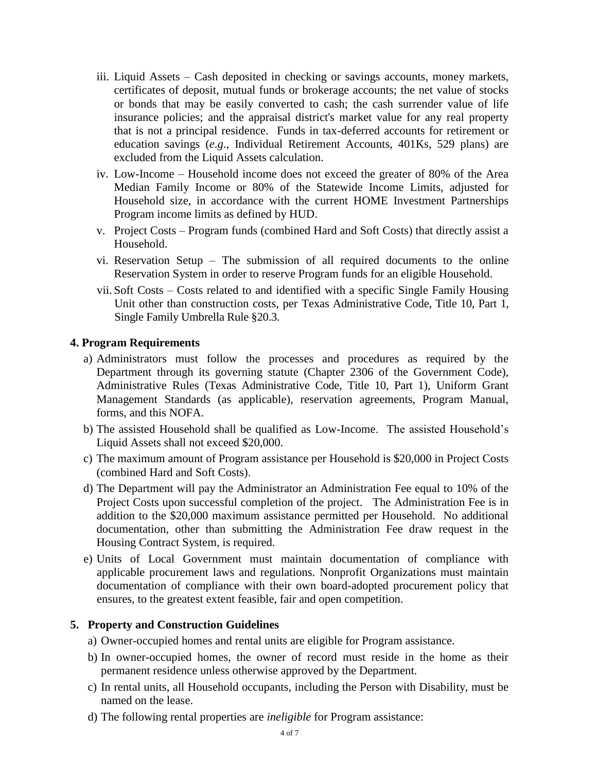- iii. Liquid Assets Cash deposited in checking or savings accounts, money markets, certificates of deposit, mutual funds or brokerage accounts; the net value of stocks or bonds that may be easily converted to cash; the cash surrender value of life insurance policies; and the appraisal district's market value for any real property that is not a principal residence. Funds in tax-deferred accounts for retirement or education savings (*e*.*g*., Individual Retirement Accounts, 401Ks, 529 plans) are excluded from the Liquid Assets calculation.
- iv. Low-Income Household income does not exceed the greater of 80% of the Area Median Family Income or 80% of the Statewide Income Limits, adjusted for Household size, in accordance with the current HOME Investment Partnerships Program income limits as defined by HUD.
- v. Project Costs Program funds (combined Hard and Soft Costs) that directly assist a Household.
- vi. Reservation Setup The submission of all required documents to the online Reservation System in order to reserve Program funds for an eligible Household.
- vii. Soft Costs Costs related to and identified with a specific Single Family Housing Unit other than construction costs, per Texas Administrative Code, Title 10, Part 1, Single Family Umbrella Rule §20.3.

#### **4. Program Requirements**

- a) Administrators must follow the processes and procedures as required by the Department through its governing statute (Chapter 2306 of the Government Code), Administrative Rules (Texas Administrative Code, Title 10, Part 1), Uniform Grant Management Standards (as applicable), reservation agreements, Program Manual, forms, and this NOFA.
- b) The assisted Household shall be qualified as Low-Income. The assisted Household's Liquid Assets shall not exceed \$20,000.
- c) The maximum amount of Program assistance per Household is \$20,000 in Project Costs (combined Hard and Soft Costs).
- d) The Department will pay the Administrator an Administration Fee equal to 10% of the Project Costs upon successful completion of the project. The Administration Fee is in addition to the \$20,000 maximum assistance permitted per Household. No additional documentation, other than submitting the Administration Fee draw request in the Housing Contract System, is required.
- e) Units of Local Government must maintain documentation of compliance with applicable procurement laws and regulations. Nonprofit Organizations must maintain documentation of compliance with their own board-adopted procurement policy that ensures, to the greatest extent feasible, fair and open competition.

#### **5. Property and Construction Guidelines**

- a) Owner-occupied homes and rental units are eligible for Program assistance.
- b) In owner-occupied homes, the owner of record must reside in the home as their permanent residence unless otherwise approved by the Department.
- c) In rental units, all Household occupants, including the Person with Disability, must be named on the lease.
- d) The following rental properties are *ineligible* for Program assistance: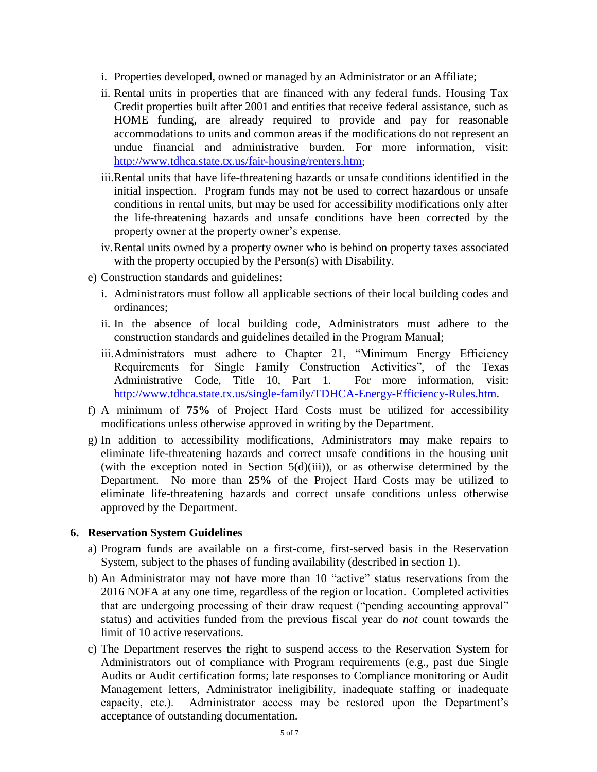- i. Properties developed, owned or managed by an Administrator or an Affiliate;
- ii. Rental units in properties that are financed with any federal funds. Housing Tax Credit properties built after 2001 and entities that receive federal assistance, such as HOME funding, are already required to provide and pay for reasonable accommodations to units and common areas if the modifications do not represent an undue financial and administrative burden. For more information, visit: <http://www.tdhca.state.tx.us/fair-housing/renters.htm>;
- iii.Rental units that have life-threatening hazards or unsafe conditions identified in the initial inspection. Program funds may not be used to correct hazardous or unsafe conditions in rental units, but may be used for accessibility modifications only after the life-threatening hazards and unsafe conditions have been corrected by the property owner at the property owner's expense.
- iv.Rental units owned by a property owner who is behind on property taxes associated with the property occupied by the Person(s) with Disability.
- e) Construction standards and guidelines:
	- i. Administrators must follow all applicable sections of their local building codes and ordinances;
	- ii. In the absence of local building code, Administrators must adhere to the construction standards and guidelines detailed in the Program Manual;
	- iii.Administrators must adhere to Chapter 21, "Minimum Energy Efficiency Requirements for Single Family Construction Activities", of the Texas Administrative Code, Title 10, Part 1. For more information, visit: [http://www.tdhca.state.tx.us/single-family/TDHCA-Energy-Efficiency-Rules.htm.](http://www.tdhca.state.tx.us/single-family/TDHCA-Energy-Efficiency-Rules.htm)
- f) A minimum of **75%** of Project Hard Costs must be utilized for accessibility modifications unless otherwise approved in writing by the Department.
- g) In addition to accessibility modifications, Administrators may make repairs to eliminate life-threatening hazards and correct unsafe conditions in the housing unit (with the exception noted in Section  $5(d)(iii)$ ), or as otherwise determined by the Department. No more than **25%** of the Project Hard Costs may be utilized to eliminate life-threatening hazards and correct unsafe conditions unless otherwise approved by the Department.

#### **6. Reservation System Guidelines**

- a) Program funds are available on a first-come, first-served basis in the Reservation System, subject to the phases of funding availability (described in section 1).
- b) An Administrator may not have more than 10 "active" status reservations from the 2016 NOFA at any one time, regardless of the region or location. Completed activities that are undergoing processing of their draw request ("pending accounting approval" status) and activities funded from the previous fiscal year do *not* count towards the limit of 10 active reservations.
- c) The Department reserves the right to suspend access to the Reservation System for Administrators out of compliance with Program requirements (e.g., past due Single Audits or Audit certification forms; late responses to Compliance monitoring or Audit Management letters, Administrator ineligibility, inadequate staffing or inadequate capacity, etc.). Administrator access may be restored upon the Department's acceptance of outstanding documentation.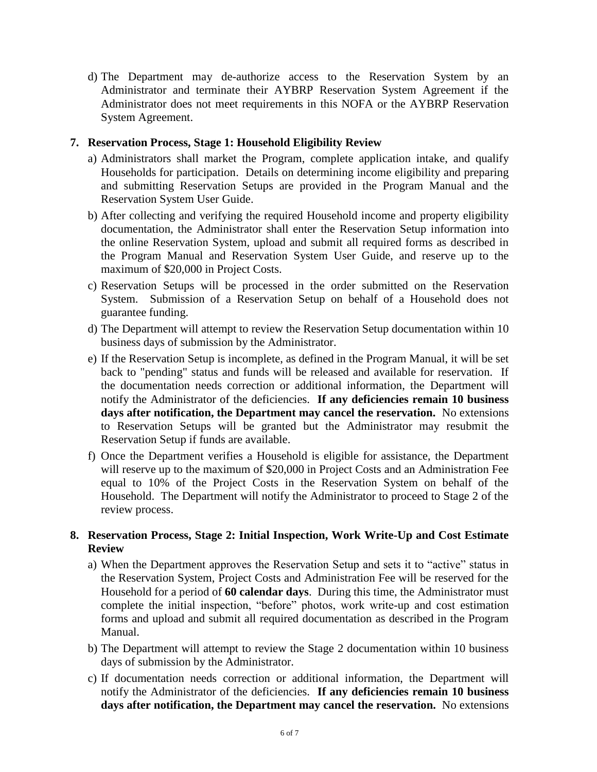d) The Department may de-authorize access to the Reservation System by an Administrator and terminate their AYBRP Reservation System Agreement if the Administrator does not meet requirements in this NOFA or the AYBRP Reservation System Agreement.

## **7. Reservation Process, Stage 1: Household Eligibility Review**

- a) Administrators shall market the Program, complete application intake, and qualify Households for participation. Details on determining income eligibility and preparing and submitting Reservation Setups are provided in the Program Manual and the Reservation System User Guide.
- b) After collecting and verifying the required Household income and property eligibility documentation, the Administrator shall enter the Reservation Setup information into the online Reservation System, upload and submit all required forms as described in the Program Manual and Reservation System User Guide, and reserve up to the maximum of \$20,000 in Project Costs.
- c) Reservation Setups will be processed in the order submitted on the Reservation System. Submission of a Reservation Setup on behalf of a Household does not guarantee funding.
- d) The Department will attempt to review the Reservation Setup documentation within 10 business days of submission by the Administrator.
- e) If the Reservation Setup is incomplete, as defined in the Program Manual, it will be set back to "pending" status and funds will be released and available for reservation. If the documentation needs correction or additional information, the Department will notify the Administrator of the deficiencies. **If any deficiencies remain 10 business days after notification, the Department may cancel the reservation.** No extensions to Reservation Setups will be granted but the Administrator may resubmit the Reservation Setup if funds are available.
- f) Once the Department verifies a Household is eligible for assistance, the Department will reserve up to the maximum of \$20,000 in Project Costs and an Administration Fee equal to 10% of the Project Costs in the Reservation System on behalf of the Household. The Department will notify the Administrator to proceed to Stage 2 of the review process.

## **8. Reservation Process, Stage 2: Initial Inspection, Work Write-Up and Cost Estimate Review**

- a) When the Department approves the Reservation Setup and sets it to "active" status in the Reservation System, Project Costs and Administration Fee will be reserved for the Household for a period of **60 calendar days**. During this time, the Administrator must complete the initial inspection, "before" photos, work write-up and cost estimation forms and upload and submit all required documentation as described in the Program Manual.
- b) The Department will attempt to review the Stage 2 documentation within 10 business days of submission by the Administrator.
- c) If documentation needs correction or additional information, the Department will notify the Administrator of the deficiencies. **If any deficiencies remain 10 business days after notification, the Department may cancel the reservation.** No extensions